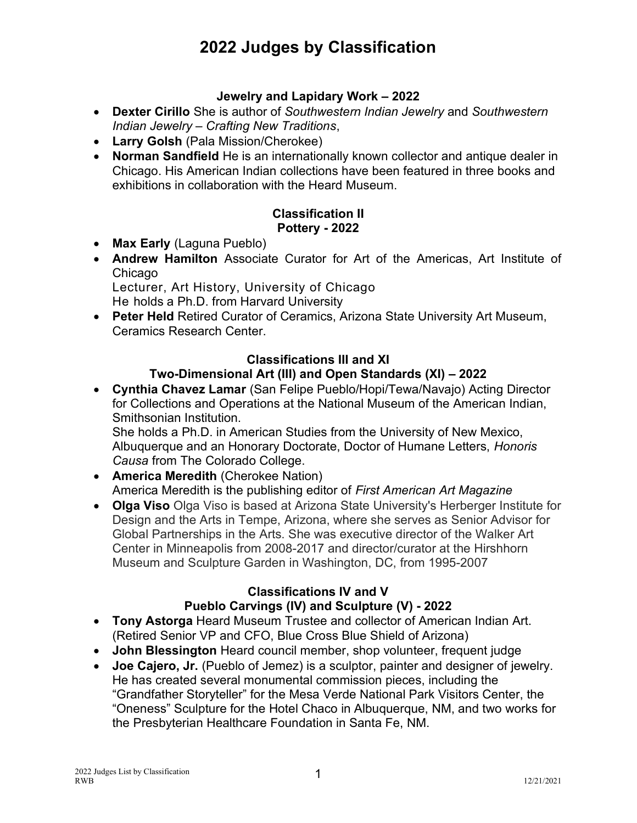# 2022 Judges by Classification

## Jewelry and Lapidary Work – 2022

- Dexter Cirillo She is author of Southwestern Indian Jewelry and Southwestern Indian Jewelry – Crafting New Traditions,
- Larry Golsh (Pala Mission/Cherokee)
- Norman Sandfield He is an internationally known collector and antique dealer in Chicago. His American Indian collections have been featured in three books and exhibitions in collaboration with the Heard Museum.

#### Classification II Pottery - 2022

- Max Early (Laguna Pueblo)
- Andrew Hamilton Associate Curator for Art of the Americas, Art Institute of Chicago
	- Lecturer, Art History, University of Chicago He holds a Ph.D. from Harvard University
- Peter Held Retired Curator of Ceramics, Arizona State University Art Museum, Ceramics Research Center.

## Classifications III and XI

## Two-Dimensional Art (III) and Open Standards (XI) – 2022

 Cynthia Chavez Lamar (San Felipe Pueblo/Hopi/Tewa/Navajo) Acting Director for Collections and Operations at the National Museum of the American Indian, Smithsonian Institution.

She holds a Ph.D. in American Studies from the University of New Mexico, Albuquerque and an Honorary Doctorate, Doctor of Humane Letters, Honoris Causa from The Colorado College.

- America Meredith (Cherokee Nation) America Meredith is the publishing editor of First American Art Magazine
- Olga Viso Olga Viso is based at Arizona State University's Herberger Institute for Design and the Arts in Tempe, Arizona, where she serves as Senior Advisor for Global Partnerships in the Arts. She was executive director of the Walker Art Center in Minneapolis from 2008-2017 and director/curator at the Hirshhorn Museum and Sculpture Garden in Washington, DC, from 1995-2007

## Classifications IV and V Pueblo Carvings (IV) and Sculpture (V) - 2022

- Tony Astorga Heard Museum Trustee and collector of American Indian Art. (Retired Senior VP and CFO, Blue Cross Blue Shield of Arizona)
- John Blessington Heard council member, shop volunteer, frequent judge
- Joe Cajero, Jr. (Pueblo of Jemez) is a sculptor, painter and designer of jewelry. He has created several monumental commission pieces, including the "Grandfather Storyteller" for the Mesa Verde National Park Visitors Center, the "Oneness" Sculpture for the Hotel Chaco in Albuquerque, NM, and two works for the Presbyterian Healthcare Foundation in Santa Fe, NM.